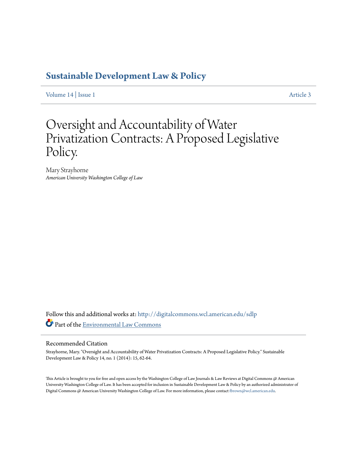### **[Sustainable Development Law & Policy](http://digitalcommons.wcl.american.edu/sdlp?utm_source=digitalcommons.wcl.american.edu%2Fsdlp%2Fvol14%2Fiss1%2F3&utm_medium=PDF&utm_campaign=PDFCoverPages)**

[Volume 14](http://digitalcommons.wcl.american.edu/sdlp/vol14?utm_source=digitalcommons.wcl.american.edu%2Fsdlp%2Fvol14%2Fiss1%2F3&utm_medium=PDF&utm_campaign=PDFCoverPages) | [Issue 1](http://digitalcommons.wcl.american.edu/sdlp/vol14/iss1?utm_source=digitalcommons.wcl.american.edu%2Fsdlp%2Fvol14%2Fiss1%2F3&utm_medium=PDF&utm_campaign=PDFCoverPages) [Article 3](http://digitalcommons.wcl.american.edu/sdlp/vol14/iss1/3?utm_source=digitalcommons.wcl.american.edu%2Fsdlp%2Fvol14%2Fiss1%2F3&utm_medium=PDF&utm_campaign=PDFCoverPages)

## Oversight and Accountability of Water Privatization Contracts: A Proposed Legislative Policy.

Mary Strayhorne *American University Washington College of Law*

Follow this and additional works at: [http://digitalcommons.wcl.american.edu/sdlp](http://digitalcommons.wcl.american.edu/sdlp?utm_source=digitalcommons.wcl.american.edu%2Fsdlp%2Fvol14%2Fiss1%2F3&utm_medium=PDF&utm_campaign=PDFCoverPages) Part of the [Environmental Law Commons](http://network.bepress.com/hgg/discipline/599?utm_source=digitalcommons.wcl.american.edu%2Fsdlp%2Fvol14%2Fiss1%2F3&utm_medium=PDF&utm_campaign=PDFCoverPages)

#### Recommended Citation

Strayhorne, Mary. "Oversight and Accountability of Water Privatization Contracts: A Proposed Legislative Policy." Sustainable Development Law & Policy 14, no. 1 (2014): 15, 62-64.

This Article is brought to you for free and open access by the Washington College of Law Journals & Law Reviews at Digital Commons @ American University Washington College of Law. It has been accepted for inclusion in Sustainable Development Law & Policy by an authorized administrator of Digital Commons @ American University Washington College of Law. For more information, please contact [fbrown@wcl.american.edu](mailto:fbrown@wcl.american.edu).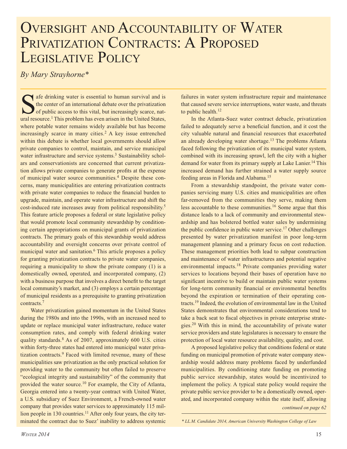# OVERSIGHT AND ACCOUNTABILITY OF WATER PRIVATIZATION CONTRACTS: A PROPOSED LEGISLATIVE POLICY

*By Mary Strayhorne\**

state drinking water is essential to human survival and is the center of an international debate over the privatization of public access to this vital, but increasingly scarce, natural resource.<sup>1</sup> This problem has even arisen in the United States, where potable water remains widely available but has become increasingly scarce in many cities.<sup>2</sup> A key issue entrenched within this debate is whether local governments should allow private companies to control, maintain, and service municipal water infrastructure and service systems.<sup>3</sup> Sustainability scholars and conservationists are concerned that current privatization allows private companies to generate profits at the expense of municipal water source communities.4 Despite these concerns, many municipalities are entering privatization contracts with private water companies to reduce the financial burden to upgrade, maintain, and operate water infrastructure and shift the cost-induced rate increases away from political responsibility.5 This feature article proposes a federal or state legislative policy that would promote local community stewardship by conditioning certain appropriations on municipal grants of privatization contracts. The primary goals of this stewardship would address accountability and oversight concerns over private control of municipal water and sanitation.<sup>6</sup> This article proposes a policy for granting privatization contracts to private water companies, requiring a municipality to show the private company (1) is a domestically owned, operated, and incorporated company, (2) with a business purpose that involves a direct benefit to the target local community's market, and (3) employs a certain percentage of municipal residents as a prerequisite to granting privatization contracts.7

Water privatization gained momentum in the United States during the 1980s and into the 1990s, with an increased need to update or replace municipal water infrastructure, reduce water consumption rates, and comply with federal drinking water quality standards.8 As of 2007, approximately 600 U.S. cities within forty-three states had entered into municipal water privatization contracts.<sup>9</sup> Faced with limited revenue, many of these municipalities saw privatization as the only practical solution for providing water to the community but often failed to preserve "ecological integrity and sustainability" of the community that provided the water source.10 For example, the City of Atlanta, Georgia entered into a twenty-year contract with United Water, a U.S. subsidiary of Suez Environment, a French-owned water company that provides water services to approximately 115 million people in 130 countries.<sup>11</sup> After only four years, the city terminated the contract due to Suez' inability to address systemic failures in water system infrastructure repair and maintenance that caused severe service interruptions, water waste, and threats to public health.<sup>12</sup>

In the Atlanta-Suez water contract debacle, privatization failed to adequately serve a beneficial function, and it cost the city valuable natural and financial resources that exacerbated an already developing water shortage.<sup>13</sup> The problems Atlanta faced following the privatization of its municipal water system, combined with its increasing sprawl, left the city with a higher demand for water from its primary supply at Lake Lanier.<sup>14</sup> This increased demand has further strained a water supply source feeding areas in Florida and Alabama.15

From a stewardship standpoint, the private water companies servicing many U.S. cities and municipalities are often far-removed from the communities they serve, making them less accountable to these communities.16 Some argue that this distance leads to a lack of community and environmental stewardship and has bolstered bottled water sales by undermining the public confidence in public water service.17 Other challenges presented by water privatization manifest in poor long-term management planning and a primary focus on cost reduction. These management priorities both lead to subpar construction and maintenance of water infrastructures and potential negative environmental impacts.18 Private companies providing water services to locations beyond their bases of operation have no significant incentive to build or maintain public water systems for long-term community financial or environmental benefits beyond the expiration or termination of their operating contracts.19 Indeed, the evolution of environmental law in the United States demonstrates that environmental considerations tend to take a back seat to fiscal objectives in private enterprise strategies.20 With this in mind, the accountability of private water service providers and state legislatures is necessary to ensure the protection of local water resource availability, quality, and cost.

A proposed legislative policy that conditions federal or state funding on municipal promotion of private water company stewardship would address many problems faced by underfunded municipalities. By conditioning state funding on promoting public service stewardship, states would be incentivized to implement the policy. A typical state policy would require the private public service provider to be a domestically owned, operated, and incorporated company within the state itself, allowing

*continued on page 62*

*<sup>\*</sup> LL.M. Candidate 2014, American University Washington College of Law*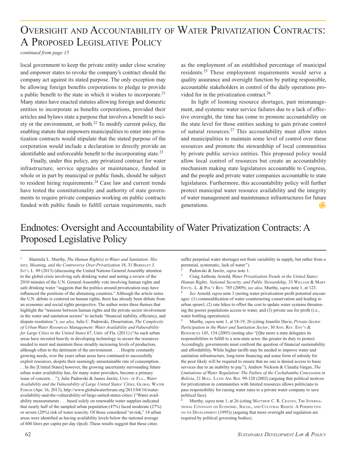## Oversight and Accountability of Water Privatization Contracts: A Proposed Legislative Policy

*continued from page 15*

local government to keep the private entity under close scrutiny and empower states to revoke the company's contract should the company act against its stated purpose. The only exception may be allowing foreign benefits corporations to pledge to provide a public benefit to the state in which it wishes to incorporate.21 Many states have enacted statutes allowing foreign and domestic entities to incorporate as benefits corporations, provided their articles and bylaws state a purpose that involves a benefit to society or the environment, or both. $^{22}$  To modify current policy, the enabling statute that empowers municipalities to enter into privatization contracts would stipulate that the stated purpose of the corporation would include a declaration to directly provide an identifiable and enforceable benefit to the incorporating state.<sup>23</sup>

Finally, under this policy, any privatized contract for water infrastructure, service upgrades or maintenance, funded in whole or in part by municipal or public funds, should be subject to resident hiring requirements.<sup>24</sup> Case law and current trends have tested the constitutionality and authority of state governments to require private companies working on public contracts funded with public funds to fulfill certain requirements, such

as the employment of an established percentage of municipal residents.25 These employment requirements would serve a quality assurance and oversight function by putting responsible, accountable stakeholders in control of the daily operations provided for in the privatization contract.<sup>26</sup>

In light of looming resource shortages, past mismanagement, and systemic water service failures due to a lack of effective oversight, the time has come to promote accountability on the state level for those entities seeking to gain private control of natural resources.27 This accountability must allow states and municipalities to maintain some level of control over these resources and promote the stewardship of local communities by private public service entities. This proposed policy would allow local control of resources but create an accountability mechanism making state legislatures accountable to Congress, and the people and private water companies accountable to state legislatures. Furthermore, this accountability policy will further protect municipal water resource availability and the integrity of water management and maintenance infrastructures for future generations.

### Endnotes: Oversight and Accountability of Water Privatization Contracts: A Proposed Legislative Policy

1 Sharmila L. Murthy, *The Human Right(s) to Water and Sanitation: History, Meaning, and the Controversy Over-Privatization* 18, 31 Berkeley J. INT'L L. 89 (2013) (discussing the United Nations General Assembly attention to the global crisis involving safe drinking water and noting a review of the 2010 minutes of the U.N. General Assembly vote involving human rights and safe drinking water "suggests that the politics around privatization may have influenced the positions of the abstaining countries." Although the article notes the U.N. debate is centered on human rights, there has already been debate from an economic and social rights perspective. The author notes three themes that highlight the "tensions between human rights and the private sector involvement in the water and sanitation sectors" to include "financial stability, efficiency, and dispute resolution."); *see also,* Julie C. Padowski, Dissertation, *The Complexity of Urban Water Resources Management: Water Availability and Vulnerability for Large Cities in the United States* 67, Univ. of Fla. (2011) ("As such urban areas have invested heavily in developing technology to secure the resources needed to meet and maintain these steadily increasing levels of production, although often to the detriment of the environment. . . . Despite constantly growing needs, over the years urban areas have continued to successfully exploit resources, despite their seemingly unsustainable rate of consumption. . . . In the [United States] however, the growing uncertainty surrounding future urban water availability has, for many water providers, become a primary issue of concern. . ."); Julie Padowski & James Jawitz, UNIV. OF FLA., Water Availability and the Vulnerability of Large United States' Cities, GLOBAL WATER Forum (Apr. 16, 2013), http://www.globalwaterforum.org/2013/04/16/wateravailability-and-the-vulnerability-of-large-united-states-cities/ ("Water availability measurements . . . based solely on renewable water supplies indicated that nearly half of the sampled urban population (47%) faced moderate (27%) or severe (20%) risk of water scarcity. Of those considered "at-risk," 14 urban areas were identified as having availability levels below the national average of 600 liters per capita per day (lpcd). These results suggest that these cities

suffer perpetual water shortages not from variability in supply, but rather from a perennial, systematic, lack of water.").

2 Padowski & Jawitz, *supra* note 1*.*

3 Craig Anthony Arnold, *Water Privatization Trends in the United States:*  Human Rights, National Security, and Public Stewardship, 33 WILLIAM & MARY Envtl. L. & Pol'y Rev. 785 (2009); *see also,* Murthy, *supra* note 1, at 123.

<sup>4</sup> *See* Arnold, *supra* note 3 (noting water privatization profit potential encourages: (1) commodification of water counteracting conservation and leading to urban sprawl, (2) rate hikes to offset the cost to update water systems threatening the poorer populations access to water, and (3) private use for profit (i.e., water bottling operations)).

5 Murthy, *supra* note 1, at 18-19, 26 (citing Jennifer Davis, *Private-Sector Participation in the Water and Sanitation Sector*, 30 Ann. Rev. Env't & Resources 145, 154 (2005) (noting also "[t]he more a state delegates its responsibilities to fulfill to a non-state actor, the greater its duty to protect. Accordingly, governments must confront the question of financial sustainability and affordability. While higher tariffs may be needed to improve water and sanitation infrastructure, long-term financing and some form of subsidy for the poor likely will be required to ensure that no one is denied access to basic services due to an inability to pay."); Andrew Nickson & Claudia Vargas, *The Limitations of Water Regulation: The Failure of the Cochabamba Concession in*  Bolivia, 21 BULL. LATIN AM. RES. 99-120 (2002) (arguing that political motives for privatization in communities with limited resources allows politicians to pass responsibility for raising water rates to a private water company to save political face).

Murthy, *supra* note 1, at 26 (citing MATTHEW C. R. CRAVEN, THE INTERNAtional Covenant on Economic, Social, and Cultural Rights: A Perspective on its Development (1995)) (arguing that more oversight and regulation are required by political governing bodies).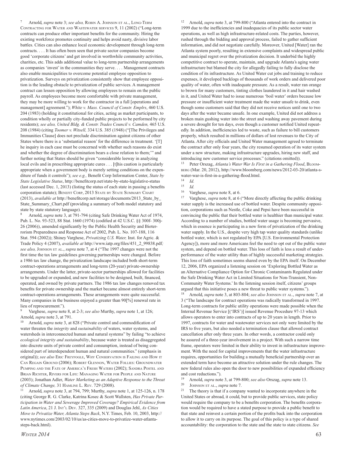Arnold, *supra* note 3; *see also*, ROBIN A. JOHNSON ET AL., LONG-TERM Contracting for Water and Wastewater services 9, 11 (2002) ("Long-term contracts can produce other important benefits for the community. Hiring the existing workforce promotes continuity and helps avoid nasty, divisive labor battles. Cities can also enhance local economic development through long-term contracts. . . . It has often been seen that private sector companies become good 'corporate citizens' and get involved in worthwhile community activities, charities, etc. This adds additional value to long-term partnership arrangements as companies 'invest' in the communities they serve. . . . Management contracts also enable municipalities to overcome potential employee opposition to privatization. Surveys on privatization consistently show that employee opposition is the leading obstacle to privatization of public services. A management contract can lessen opposition by allowing employees to remain on the public payroll. As employees become more comfortable with private management, they may be more willing to work for the contractor in a full [operations and management] agreement."); *White v. Mass. Council of Constr. Emplrs*, 460 U.S. 204 (1983) (holding it constitutional for cities, acting as market participants, to condition wholly or partially city-funded public projects to be performed by city residents); *see also, United Bldg. & Constr. Trades Council v. Camden,* 465 U.S. 208 (1984) (citing *Toomer v. Witsell,* 334 U.S. 385 (1948) ("[The Privileges and Immunities Clause] does not preclude discrimination against citizens of other States where there is a 'substantial reason' for the difference in treatment. '[T] he inquiry in each case must be concerned with whether such reasons do exist and whether the degree of discrimination bears a close relation to them;'" and further noting that States should be given "considerable leeway in analyzing local evils and in prescribing appropriate cures . . . [t]his caution is particularly appropriate when a government body is merely setting conditions on the expenditure of funds it controls"); *see e.g.,* Benefit Corp Information Center, *State by State Legislative Status*, http://benefitcorp.net/state-by-state-legislative-status (last accessed Dec. 1, 2013) (listing the status of each state in passing a benefits corporation statute); BENEFIT CORP, 2013 STATE BY STATE SUMMARY CHART (2013), *available at* http://benefitcorp.net/storage/documents/2013\_State\_by\_ State\_Summary\_Chart.pdf (providing a summary of both model statutory and state by state statutory language).

8 Arnold, *supra* note 3, at 791-794 (citing Safe Drinking Water Act of 1974, Pub. L. No. 93-523, 88 Stat. 1660 (1974) (codified at 42 U.S.C. §§ 300f- 300j-26 (2006)), amended significantly by the Public Health Security and Bioterrorism Preparedness and Response Act of 2002, Pub. L. No. 107-188, 116 Stat. 594 (2002)); Shiney Varghese, *Privatizing U.S. Water,* Inst. for Agric. & Trade Policy 4 (2007), *available at* http://www.iatp.org/files/451\_2\_99838.pdf*; see also,* Johnson et al., *supra* note 7, at 4 ("The 1997 changes were not the first time the tax law guidelines governing partnerships were changed. Before a 1986 tax law change, the privatization landscape included both short-term contract-operations arrangements and long-term (20-year) private-ownership arrangements. Under the latter, private-sector partnerships allowed for facilities to be upgraded or expanded, and new facilities to be designed, built, financed, operated, and owned by private partners. The 1986 tax law changes removed tax benefits for private ownership and the market became almost entirely short-term contract-operations arrangements. These arrangements were quite successful. Many companies in the business enjoyed a greater than 90[%] renewal rate in lieu of reprocurement.").

9 Varghese, *supra* note 8, at 2-3; *see also* Murthy, *supra* note 1, at 126; Arnold, *supra* note 3, at 791.

Arnold, *supra* note 3, at 828 ("Private control and commodification of water threaten the *integrity* and *sustainability* of waters, water systems, and watersheds in interconnected human and natural systems" by failing "to achieve *ecological integrity and sustainability*, because water is treated as disaggregated into discrete units of private control and consumption, instead of being considered part of interdependent human and natural communities." (emphasis in original)); see also ERIC FREYFOGLE, WHY CONSERVATION IS FAILING AND HOW IT Can Regain Ground (2006); Robert Glennon, Water Follies: Groundwater Pumping and the Fate of America's Fresh Waters (2002); Sandra Postel and Brian Richter, Rivers for Life: Managing Water for People and Nature (2003); Jonathan Adler, *Water Marketing as an Adaptive Response to the Threat of Climate Change,* 31 Hamline L. Rev. 729 (2008).

11 Arnold, *supra* note 3, at 794, 799; Murthy, *supra* note 1, at 125-126, n. 178 (citing George R. G. Clarke, Katrina Kosec & Scott Wallsten, *Has Private Participation in Water and Sewerage Improved Coverage? Empirical Evidence from Latin America*, 21 J. Int'l Dev. 327, 335 (2009) and Douglas Jehl, *As Cities Move to Privatize Water, Atlanta Steps Back*, N.Y. Times, Feb. 10, 2003, http:// www.nytimes.com/2003/02/10/us/as-cities-move-to-privatize-water-atlantasteps-back.html).

12 Arnold, *supra* note 3, at 799-800 ("Atlanta entered into the contract in 1999 due to the inefficiencies and inadequacies of its public sector water operations, as well as high infrastructure-related costs. The parties, however, rushed through the bidding and approval process, failed to gather sufficient information, and did not negotiate carefully. Moreover, United [Water] ran the Atlanta system poorly, resulting in extensive complaints and widespread public and municipal regret over the privatization decision. It underbid the highly competitive contract to operate, maintain, and upgrade Atlanta's aging water infrastructure but blamed the city for allegedly failing to fully disclose the condition of its infrastructure. As United Water cut jobs and training to reduce expenses, it developed backlogs of thousands of work orders and delivered poor quality of water, often with inadequate pressure. As a result, water ran orange to brown for many customers, tinting clothes laundered in it and hair washed in it, and United Water had to issue numerous 'boil water' orders because low pressure or insufficient water treatment made the water unsafe to drink, even though some customers said that they did not receive notices until one to two days after the water became unsafe. In one example, United did not address a broken main gushing water into the street and washing away pavement during a severe drought for ten days, even though a customer notified United repeatedly. In addition, inefficiencies led to waste, such as failure to bill customers properly, which resulted in millions of dollars of lost revenues to the City of Atlanta. After city officials and United Water management agreed to terminate the contract after only four years, the city resumed operation of its water system under a new structure, making infrastructure upgrades, hiring new staff, and introducing new customer service processes." (citations omitted)).

<sup>13</sup> Peter Orszag, *Atlanta's Water War Is First in a Gathering Flood*, BLOOMberg (Mar. 20, 2012), http://www.bloomberg.com/news/2012-03-20/atlanta-swater-war-is-first-in-a-gathering-flood.html.

 $\frac{14}{15}$  *Id.* 

Varghese, *supra* note 8, at 6.

17 Varghese, *supra* note 8, at 6 ("More directly affecting the public drinking water supply is the increased use of bottled water. Despite community opposition, corporations such as Nestle, Coke and Pepsi have been successful in convincing the public that their bottled water is healthier than municipal water. According to a number of studies, bottled water usage is becoming pervasive, which in essence is participating in a new form of privatization of the drinking water supply. In the U.S., despite very high tap water quality standards (unlike bottled water, which is not regulated by EPA [U.S. Environmental Protection Agency]), more and more Americans feel the need to opt out of the public water system, and depend on bottled water. This loss of faith is less a result of underperformance of the water utility than of highly successful marketing strategies. This loss of faith sometimes seems shared even by the EPA itself. On December 12, 2006, EPA organized a listening session on 'Exploring Bottled Water as an Alternative Compliance Option for Chronic Contaminants Regulated under the Safe Drinking Water Act in Limited Situations for Non-Transient, Non-Community Water Systems.' In the listening session itself, citizens' groups argued that this initiative poses a new threat to public water systems.").

18 Arnold, *supra* note 3, at 803-804; *see also* Johnson et al., *supra* note 7, at 3 ("The landscape for contract operations was radically transformed in 1997. Long-term contracts for public utility operations were made possible when the Internal Revenue Service [('IRS')] issued Revenue Procedure 97-13 which allows operators to enter into contracts of up to 20 years in length. Prior to 1997, contracts for water and wastewater services not only were limited by the IRS to five years, but also needed a termination clause that allowed contract cancellation after only three years. In other words, a contractor could only be assured of a three-year involvement in a project. With such a narrow time frame, operators were limited in their ability to invest in infrastructure improvement. With the need for capital improvements that the water infrastructure requires, opportunities for building a mutually beneficial partnership over an extended term have become an attractive solution under the rule changes. The new federal rules also open the door to new possibilities of expanded efficiency and cost reductions.").

19 Arnold, *supra* note 3, at 799-800; *see also* Orszag, *supra* note 13.

<sup>20</sup> Johnson et al., *supra* note 7.

<sup>21</sup> The theory is that if a company wanted to incorporate anywhere in the United States or abroad, it could, but to provide public services, state policy would require the company to be a benefits corporation. The benefits corporation would be required to have a stated purpose to provide a public benefit to that state and reinvest a certain portion of the profits back into the corporation to allow it to carry on its purpose. The goal of this policy is a type of shared accountability: the corporation to the state and the state to state citizens. See

 $\frac{15}{16}$  *Id.*